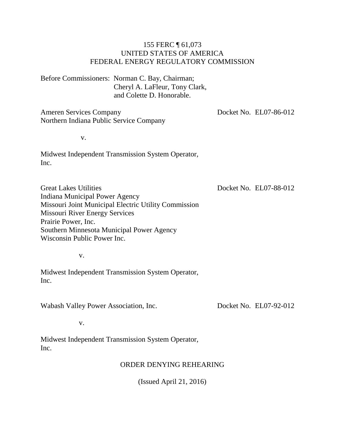#### 155 FERC ¶ 61,073 UNITED STATES OF AMERICA FEDERAL ENERGY REGULATORY COMMISSION

Before Commissioners: Norman C. Bay, Chairman; Cheryl A. LaFleur, Tony Clark, and Colette D. Honorable.

Ameren Services Company Northern Indiana Public Service Company Docket No. EL07-86-012

v.

Midwest Independent Transmission System Operator, Inc.

Great Lakes Utilities Indiana Municipal Power Agency Missouri Joint Municipal Electric Utility Commission Missouri River Energy Services Prairie Power, Inc. Southern Minnesota Municipal Power Agency Wisconsin Public Power Inc. Docket No. EL07-88-012

v.

Midwest Independent Transmission System Operator, Inc.

Wabash Valley Power Association, Inc.

Docket No. EL07-92-012

v.

Midwest Independent Transmission System Operator, Inc.

### ORDER DENYING REHEARING

(Issued April 21, 2016)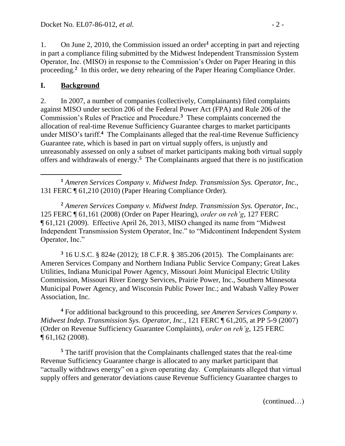1. On June 2, 2010, the Commission issued an order**<sup>1</sup>** accepting in part and rejecting in part a compliance filing submitted by the Midwest Independent Transmission System Operator, Inc. (MISO) in response to the Commission's Order on Paper Hearing in this proceeding.**<sup>2</sup>** In this order, we deny rehearing of the Paper Hearing Compliance Order.

### **I. Background**

 $\overline{a}$ 

2. In 2007, a number of companies (collectively, Complainants) filed complaints against MISO under section 206 of the Federal Power Act (FPA) and Rule 206 of the Commission's Rules of Practice and Procedure.**<sup>3</sup>** These complaints concerned the allocation of real-time Revenue Sufficiency Guarantee charges to market participants under MISO's tariff.<sup>4</sup> The Complainants alleged that the real-time Revenue Sufficiency Guarantee rate, which is based in part on virtual supply offers, is unjustly and unreasonably assessed on only a subset of market participants making both virtual supply offers and withdrawals of energy. **5** The Complainants argued that there is no justification

**<sup>1</sup>** *Ameren Services Company v. Midwest Indep. Transmission Sys. Operator, Inc.,*  131 FERC ¶ 61,210 (2010) (Paper Hearing Compliance Order).

**<sup>2</sup>** *Ameren Services Company v. Midwest Indep. Transmission Sys. Operator, Inc.*, 125 FERC ¶ 61,161 (2008) (Order on Paper Hearing), *order on reh'g*, 127 FERC ¶ 61,121 (2009). Effective April 26, 2013, MISO changed its name from "Midwest Independent Transmission System Operator, Inc." to "Midcontinent Independent System Operator, Inc."

**<sup>3</sup>** 16 U.S.C. § 824e (2012); 18 C.F.R. § 385.206 (2015). The Complainants are: Ameren Services Company and Northern Indiana Public Service Company; Great Lakes Utilities, Indiana Municipal Power Agency, Missouri Joint Municipal Electric Utility Commission, Missouri River Energy Services, Prairie Power, Inc., Southern Minnesota Municipal Power Agency, and Wisconsin Public Power Inc.; and Wabash Valley Power Association, Inc.

**<sup>4</sup>** For additional background to this proceeding, *see Ameren Services Company v. Midwest Indep. Transmission Sys. Operator, Inc.*, 121 FERC ¶ 61,205, at PP 5-9 (2007) (Order on Revenue Sufficiency Guarantee Complaints), *order on reh'g*, 125 FERC ¶ 61,162 (2008).

**<sup>5</sup>** The tariff provision that the Complainants challenged states that the real-time Revenue Sufficiency Guarantee charge is allocated to any market participant that "actually withdraws energy" on a given operating day. Complainants alleged that virtual supply offers and generator deviations cause Revenue Sufficiency Guarantee charges to

(continued…)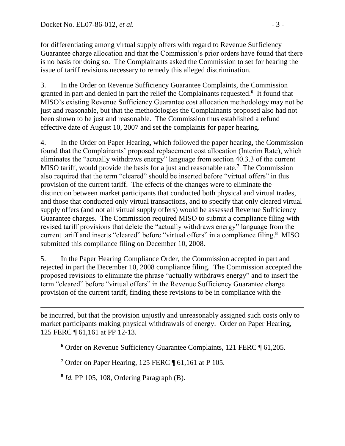for differentiating among virtual supply offers with regard to Revenue Sufficiency Guarantee charge allocation and that the Commission's prior orders have found that there is no basis for doing so. The Complainants asked the Commission to set for hearing the issue of tariff revisions necessary to remedy this alleged discrimination.

3. In the Order on Revenue Sufficiency Guarantee Complaints, the Commission granted in part and denied in part the relief the Complainants requested.**<sup>6</sup>** It found that MISO's existing Revenue Sufficiency Guarantee cost allocation methodology may not be just and reasonable, but that the methodologies the Complainants proposed also had not been shown to be just and reasonable. The Commission thus established a refund effective date of August 10, 2007 and set the complaints for paper hearing.

4. In the Order on Paper Hearing, which followed the paper hearing, the Commission found that the Complainants' proposed replacement cost allocation (Interim Rate), which eliminates the "actually withdraws energy" language from section 40.3.3 of the current MISO tariff, would provide the basis for a just and reasonable rate.**<sup>7</sup>** The Commission also required that the term "cleared" should be inserted before "virtual offers" in this provision of the current tariff. The effects of the changes were to eliminate the distinction between market participants that conducted both physical and virtual trades, and those that conducted only virtual transactions, and to specify that only cleared virtual supply offers (and not all virtual supply offers) would be assessed Revenue Sufficiency Guarantee charges. The Commission required MISO to submit a compliance filing with revised tariff provisions that delete the "actually withdraws energy" language from the current tariff and inserts "cleared" before "virtual offers" in a compliance filing.**<sup>8</sup>** MISO submitted this compliance filing on December 10, 2008.

5. In the Paper Hearing Compliance Order, the Commission accepted in part and rejected in part the December 10, 2008 compliance filing. The Commission accepted the proposed revisions to eliminate the phrase "actually withdraws energy" and to insert the term "cleared" before "virtual offers" in the Revenue Sufficiency Guarantee charge provision of the current tariff, finding these revisions to be in compliance with the

be incurred, but that the provision unjustly and unreasonably assigned such costs only to market participants making physical withdrawals of energy. Order on Paper Hearing, 125 FERC ¶ 61,161 at PP 12-13.

**<sup>6</sup>** Order on Revenue Sufficiency Guarantee Complaints, 121 FERC ¶ 61,205.

**<sup>7</sup>** Order on Paper Hearing, 125 FERC ¶ 61,161 at P 105.

**8** *Id.* PP 105, 108, Ordering Paragraph (B).

 $\overline{a}$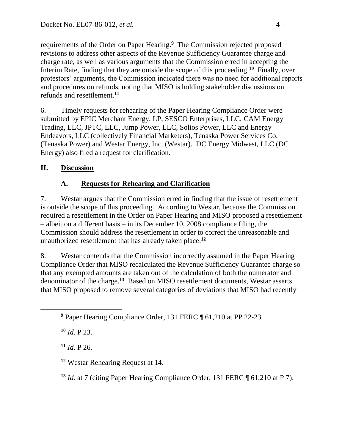requirements of the Order on Paper Hearing.**<sup>9</sup>** The Commission rejected proposed revisions to address other aspects of the Revenue Sufficiency Guarantee charge and charge rate, as well as various arguments that the Commission erred in accepting the Interim Rate, finding that they are outside the scope of this proceeding.**<sup>10</sup>** Finally, over protestors' arguments, the Commission indicated there was no need for additional reports and procedures on refunds, noting that MISO is holding stakeholder discussions on refunds and resettlement.**<sup>11</sup>**

6. Timely requests for rehearing of the Paper Hearing Compliance Order were submitted by EPIC Merchant Energy, LP, SESCO Enterprises, LLC, CAM Energy Trading, LLC, JPTC, LLC, Jump Power, LLC, Solios Power, LLC and Energy Endeavors, LLC (collectively Financial Marketers), Tenaska Power Services Co. (Tenaska Power) and Westar Energy, Inc. (Westar). DC Energy Midwest, LLC (DC Energy) also filed a request for clarification.

# **II. Discussion**

# **A. Requests for Rehearing and Clarification**

7. Westar argues that the Commission erred in finding that the issue of resettlement is outside the scope of this proceeding. According to Westar, because the Commission required a resettlement in the Order on Paper Hearing and MISO proposed a resettlement – albeit on a different basis – in its December 10, 2008 compliance filing, the Commission should address the resettlement in order to correct the unreasonable and unauthorized resettlement that has already taken place.**<sup>12</sup>**

8. Westar contends that the Commission incorrectly assumed in the Paper Hearing Compliance Order that MISO recalculated the Revenue Sufficiency Guarantee charge so that any exempted amounts are taken out of the calculation of both the numerator and denominator of the charge.**<sup>13</sup>** Based on MISO resettlement documents, Westar asserts that MISO proposed to remove several categories of deviations that MISO had recently

**<sup>10</sup>** *Id.* P 23.

**<sup>11</sup>** *Id.* P 26.

**<sup>12</sup>** Westar Rehearing Request at 14.

**<sup>13</sup>** *Id.* at 7 (citing Paper Hearing Compliance Order, 131 FERC ¶ 61,210 at P 7).

**<sup>9</sup>** Paper Hearing Compliance Order, 131 FERC ¶ 61,210 at PP 22-23.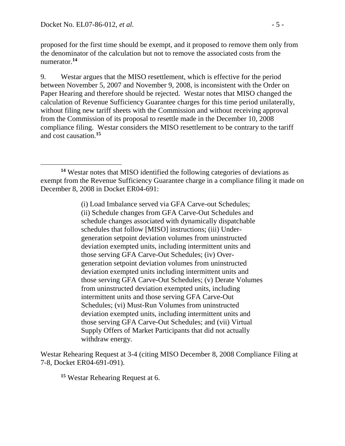proposed for the first time should be exempt, and it proposed to remove them only from the denominator of the calculation but not to remove the associated costs from the numerator.**<sup>14</sup>**

9. Westar argues that the MISO resettlement, which is effective for the period between November 5, 2007 and November 9, 2008, is inconsistent with the Order on Paper Hearing and therefore should be rejected. Westar notes that MISO changed the calculation of Revenue Sufficiency Guarantee charges for this time period unilaterally, without filing new tariff sheets with the Commission and without receiving approval from the Commission of its proposal to resettle made in the December 10, 2008 compliance filing. Westar considers the MISO resettlement to be contrary to the tariff and cost causation.**<sup>15</sup>**

(i) Load Imbalance served via GFA Carve-out Schedules; (ii) Schedule changes from GFA Carve-Out Schedules and schedule changes associated with dynamically dispatchable schedules that follow [MISO] instructions; (iii) Undergeneration setpoint deviation volumes from uninstructed deviation exempted units, including intermittent units and those serving GFA Carve-Out Schedules; (iv) Overgeneration setpoint deviation volumes from uninstructed deviation exempted units including intermittent units and those serving GFA Carve-Out Schedules; (v) Derate Volumes from uninstructed deviation exempted units, including intermittent units and those serving GFA Carve-Out Schedules; (vi) Must-Run Volumes from uninstructed deviation exempted units, including intermittent units and those serving GFA Carve-Out Schedules; and (vii) Virtual Supply Offers of Market Participants that did not actually withdraw energy.

Westar Rehearing Request at 3-4 (citing MISO December 8, 2008 Compliance Filing at 7-8, Docket ER04-691-091).

**<sup>15</sup>** Westar Rehearing Request at 6.

 $\overline{a}$ **<sup>14</sup>** Westar notes that MISO identified the following categories of deviations as exempt from the Revenue Sufficiency Guarantee charge in a compliance filing it made on December 8, 2008 in Docket ER04-691: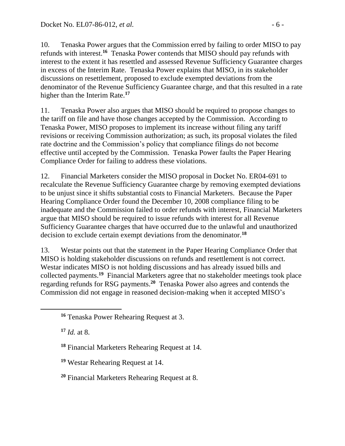10. Tenaska Power argues that the Commission erred by failing to order MISO to pay refunds with interest.**<sup>16</sup>** Tenaska Power contends that MISO should pay refunds with interest to the extent it has resettled and assessed Revenue Sufficiency Guarantee charges in excess of the Interim Rate. Tenaska Power explains that MISO, in its stakeholder discussions on resettlement, proposed to exclude exempted deviations from the denominator of the Revenue Sufficiency Guarantee charge, and that this resulted in a rate higher than the Interim Rate.**<sup>17</sup>**

11. Tenaska Power also argues that MISO should be required to propose changes to the tariff on file and have those changes accepted by the Commission. According to Tenaska Power, MISO proposes to implement its increase without filing any tariff revisions or receiving Commission authorization; as such, its proposal violates the filed rate doctrine and the Commission's policy that compliance filings do not become effective until accepted by the Commission. Tenaska Power faults the Paper Hearing Compliance Order for failing to address these violations.

12. Financial Marketers consider the MISO proposal in Docket No. ER04-691 to recalculate the Revenue Sufficiency Guarantee charge by removing exempted deviations to be unjust since it shifts substantial costs to Financial Marketers. Because the Paper Hearing Compliance Order found the December 10, 2008 compliance filing to be inadequate and the Commission failed to order refunds with interest, Financial Marketers argue that MISO should be required to issue refunds with interest for all Revenue Sufficiency Guarantee charges that have occurred due to the unlawful and unauthorized decision to exclude certain exempt deviations from the denominator.**<sup>18</sup>**

13. Westar points out that the statement in the Paper Hearing Compliance Order that MISO is holding stakeholder discussions on refunds and resettlement is not correct. Westar indicates MISO is not holding discussions and has already issued bills and collected payments.**<sup>19</sup>** Financial Marketers agree that no stakeholder meetings took place regarding refunds for RSG payments. **20** Tenaska Power also agrees and contends the Commission did not engage in reasoned decision-making when it accepted MISO's

**<sup>17</sup>** *Id.* at 8.

**<sup>19</sup>** Westar Rehearing Request at 14.

**<sup>20</sup>** Financial Marketers Rehearing Request at 8.

**<sup>16</sup>** Tenaska Power Rehearing Request at 3.

**<sup>18</sup>** Financial Marketers Rehearing Request at 14.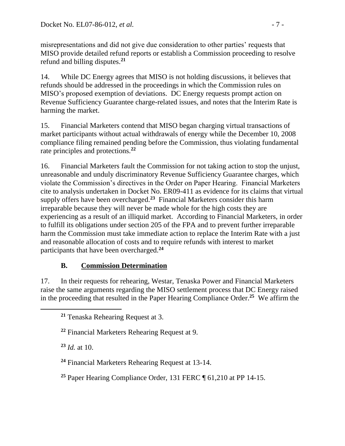misrepresentations and did not give due consideration to other parties' requests that MISO provide detailed refund reports or establish a Commission proceeding to resolve refund and billing disputes. **21**

14. While DC Energy agrees that MISO is not holding discussions, it believes that refunds should be addressed in the proceedings in which the Commission rules on MISO's proposed exemption of deviations. DC Energy requests prompt action on Revenue Sufficiency Guarantee charge-related issues, and notes that the Interim Rate is harming the market.

15. Financial Marketers contend that MISO began charging virtual transactions of market participants without actual withdrawals of energy while the December 10, 2008 compliance filing remained pending before the Commission, thus violating fundamental rate principles and protections.**<sup>22</sup>**

16. Financial Marketers fault the Commission for not taking action to stop the unjust, unreasonable and unduly discriminatory Revenue Sufficiency Guarantee charges, which violate the Commission's directives in the Order on Paper Hearing. Financial Marketers cite to analysis undertaken in Docket No. ER09-411 as evidence for its claims that virtual supply offers have been overcharged.**<sup>23</sup>** Financial Marketers consider this harm irreparable because they will never be made whole for the high costs they are experiencing as a result of an illiquid market. According to Financial Marketers, in order to fulfill its obligations under section 205 of the FPA and to prevent further irreparable harm the Commission must take immediate action to replace the Interim Rate with a just and reasonable allocation of costs and to require refunds with interest to market participants that have been overcharged.**<sup>24</sup>**

### **B. Commission Determination**

17. In their requests for rehearing, Westar, Tenaska Power and Financial Marketers raise the same arguments regarding the MISO settlement process that DC Energy raised in the proceeding that resulted in the Paper Hearing Compliance Order.**<sup>25</sup>** We affirm the

**<sup>23</sup>** *Id.* at 10.

**<sup>24</sup>** Financial Marketers Rehearing Request at 13-14.

**<sup>25</sup>** Paper Hearing Compliance Order, 131 FERC ¶ 61,210 at PP 14-15.

**<sup>21</sup>** Tenaska Rehearing Request at 3.

**<sup>22</sup>** Financial Marketers Rehearing Request at 9.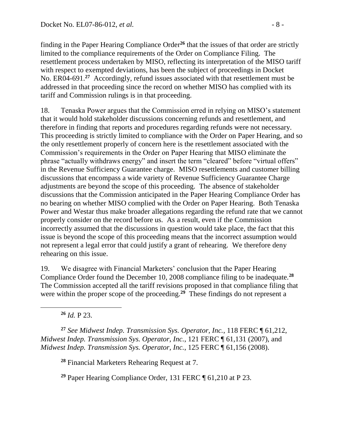finding in the Paper Hearing Compliance Order**<sup>26</sup>** that the issues of that order are strictly limited to the compliance requirements of the Order on Compliance Filing. The resettlement process undertaken by MISO, reflecting its interpretation of the MISO tariff with respect to exempted deviations, has been the subject of proceedings in Docket No. ER04-691.**<sup>27</sup>** Accordingly, refund issues associated with that resettlement must be addressed in that proceeding since the record on whether MISO has complied with its tariff and Commission rulings is in that proceeding.

18. Tenaska Power argues that the Commission erred in relying on MISO's statement that it would hold stakeholder discussions concerning refunds and resettlement, and therefore in finding that reports and procedures regarding refunds were not necessary. This proceeding is strictly limited to compliance with the Order on Paper Hearing, and so the only resettlement properly of concern here is the resettlement associated with the Commission's requirements in the Order on Paper Hearing that MISO eliminate the phrase "actually withdraws energy" and insert the term "cleared" before "virtual offers" in the Revenue Sufficiency Guarantee charge. MISO resettlements and customer billing discussions that encompass a wide variety of Revenue Sufficiency Guarantee Charge adjustments are beyond the scope of this proceeding. The absence of stakeholder discussions that the Commission anticipated in the Paper Hearing Compliance Order has no bearing on whether MISO complied with the Order on Paper Hearing. Both Tenaska Power and Westar thus make broader allegations regarding the refund rate that we cannot properly consider on the record before us. As a result, even if the Commission incorrectly assumed that the discussions in question would take place, the fact that this issue is beyond the scope of this proceeding means that the incorrect assumption would not represent a legal error that could justify a grant of rehearing. We therefore deny rehearing on this issue.

19. We disagree with Financial Marketers' conclusion that the Paper Hearing Compliance Order found the December 10, 2008 compliance filing to be inadequate.**<sup>28</sup>** The Commission accepted all the tariff revisions proposed in that compliance filing that were within the proper scope of the proceeding.<sup>29</sup> These findings do not represent a

**<sup>26</sup>** *Id.* P 23.

 $\overline{a}$ 

**<sup>27</sup>** *See Midwest Indep. Transmission Sys. Operator, Inc.*, 118 FERC ¶ 61,212, *Midwest Indep. Transmission Sys. Operator, Inc.*, 121 FERC ¶ 61,131 (2007), and *Midwest Indep. Transmission Sys. Operator, Inc.*, 125 FERC ¶ 61,156 (2008).

**<sup>28</sup>** Financial Marketers Rehearing Request at 7.

**<sup>29</sup>** Paper Hearing Compliance Order, 131 FERC ¶ 61,210 at P 23.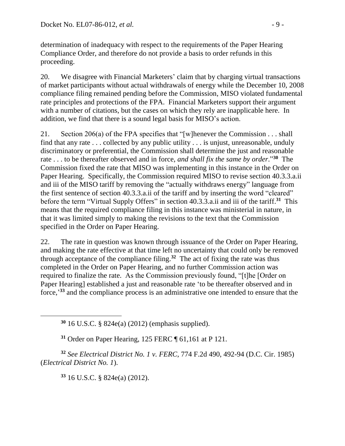determination of inadequacy with respect to the requirements of the Paper Hearing Compliance Order, and therefore do not provide a basis to order refunds in this proceeding.

20. We disagree with Financial Marketers' claim that by charging virtual transactions of market participants without actual withdrawals of energy while the December 10, 2008 compliance filing remained pending before the Commission, MISO violated fundamental rate principles and protections of the FPA. Financial Marketers support their argument with a number of citations, but the cases on which they rely are inapplicable here. In addition, we find that there is a sound legal basis for MISO's action.

21. Section 206(a) of the FPA specifies that "[w]henever the Commission . . . shall find that any rate . . . collected by any public utility . . . is unjust, unreasonable, unduly discriminatory or preferential, the Commission shall determine the just and reasonable rate . . . to be thereafter observed and in force, *and shall fix the same by order*." **<sup>30</sup>** The Commission fixed the rate that MISO was implementing in this instance in the Order on Paper Hearing. Specifically, the Commission required MISO to revise section 40.3.3.a.ii and iii of the MISO tariff by removing the "actually withdraws energy" language from the first sentence of section 40.3.3.a.ii of the tariff and by inserting the word "cleared" before the term "Virtual Supply Offers" in section 40.3.3.a.ii and iii of the tariff.**<sup>31</sup>** This means that the required compliance filing in this instance was ministerial in nature, in that it was limited simply to making the revisions to the text that the Commission specified in the Order on Paper Hearing.

22. The rate in question was known through issuance of the Order on Paper Hearing, and making the rate effective at that time left no uncertainty that could only be removed through acceptance of the compliance filing.**<sup>32</sup>** The act of fixing the rate was thus completed in the Order on Paper Hearing, and no further Commission action was required to finalize the rate. As the Commission previously found, "[t]he [Order on Paper Hearing] established a just and reasonable rate 'to be thereafter observed and in force,' **<sup>33</sup>** and the compliance process is an administrative one intended to ensure that the

**<sup>31</sup>** Order on Paper Hearing, 125 FERC ¶ 61,161 at P 121.

**<sup>32</sup>** *See Electrical District No. 1 v. FERC*, 774 F.2d 490, 492-94 (D.C. Cir. 1985) (*Electrical District No. 1*).

**<sup>33</sup>** 16 U.S.C. § 824e(a) (2012).

**<sup>30</sup>** 16 U.S.C. § 824e(a) (2012) (emphasis supplied).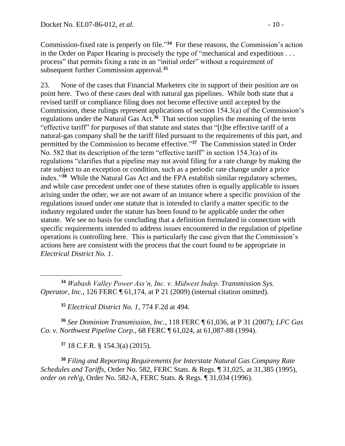Commission-fixed rate is properly on file."**<sup>34</sup>** For these reasons, the Commission's action in the Order on Paper Hearing is precisely the type of "mechanical and expeditious . . . process" that permits fixing a rate in an "initial order" without a requirement of subsequent further Commission approval.**<sup>35</sup>**

23. None of the cases that Financial Marketers cite in support of their position are on point here. Two of these cases deal with natural gas pipelines. While both state that a revised tariff or compliance filing does not become effective until accepted by the Commission, these rulings represent applications of section 154.3(a) of the Commission's regulations under the Natural Gas Act.**<sup>36</sup>** That section supplies the meaning of the term "effective tariff" for purposes of that statute and states that "[t]he effective tariff of a natural-gas company shall be the tariff filed pursuant to the requirements of this part, and permitted by the Commission to become effective." **37** The Commission stated in Order No. 582 that its description of the term "effective tariff" in section 154.3(a) of its regulations "clarifies that a pipeline may not avoid filing for a rate change by making the rate subject to an exception or condition, such as a periodic rate change under a price index."**<sup>38</sup>** While the Natural Gas Act and the FPA establish similar regulatory schemes, and while case precedent under one of these statutes often is equally applicable to issues arising under the other, we are not aware of an instance where a specific provision of the regulations issued under one statute that is intended to clarify a matter specific to the industry regulated under the statute has been found to be applicable under the other statute. We see no basis for concluding that a definition formulated in connection with specific requirements intended to address issues encountered in the regulation of pipeline operations is controlling here. This is particularly the case given that the Commission's actions here are consistent with the process that the court found to be appropriate in *Electrical District No. 1*.

 $\overline{a}$ **<sup>34</sup>** *Wabash Valley Power Ass'n, Inc. v. Midwest Indep. Transmission Sys. Operator, Inc.*, 126 FERC ¶ 61,174, at P 21 (2009) (internal citation omitted).

**<sup>35</sup>** *Electrical District No. 1*, 774 F.2d at 494.

**<sup>36</sup>** *See Dominion Transmission, Inc.*, 118 FERC ¶ 61,036, at P 31 (2007); *LFC Gas Co. v. Northwest Pipeline Corp.*, 68 FERC ¶ 61,024, at 61,087-88 (1994).

**<sup>37</sup>** 18 C.F.R. § 154.3(a) (2015).

**<sup>38</sup>** *Filing and Reporting Requirements for Interstate Natural Gas Company Rate Schedules and Tariffs*, Order No. 582, FERC Stats. & Regs. ¶ 31,025, at 31,385 (1995), *order on reh'g,* Order No. 582-A, FERC Stats. & Regs. ¶ 31,034 (1996).